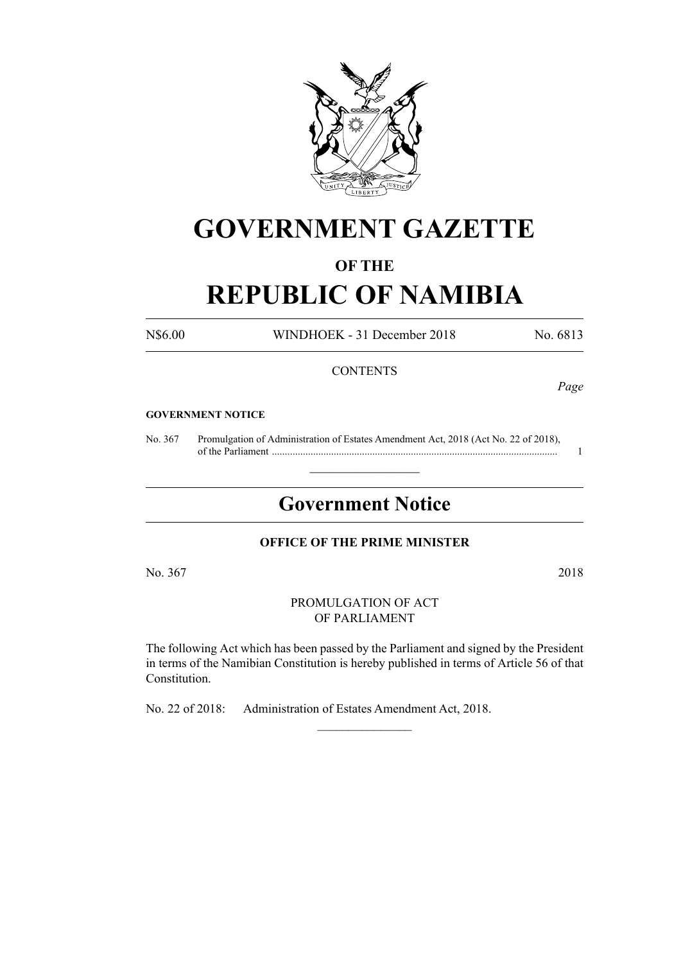

# **GOVERNMENT GAZETTE**

# **OF THE**

# **REPUBLIC OF NAMIBIA**

N\$6.00 WINDHOEK - 31 December 2018 No. 6813

## **CONTENTS**

*Page*

#### **GOVERNMENT NOTICE**

No. 367 Promulgation of Administration of Estates Amendment Act, 2018 (Act No. 22 of 2018), of the Parliament ............................................................................................................... 1

# **Government Notice**

 $\frac{1}{2}$  ,  $\frac{1}{2}$  ,  $\frac{1}{2}$  ,  $\frac{1}{2}$  ,  $\frac{1}{2}$  ,  $\frac{1}{2}$  ,  $\frac{1}{2}$ 

#### **OFFICE OF THE PRIME MINISTER**

No. 367 2018

PROMULGATION OF ACT OF PARLIAMENT

The following Act which has been passed by the Parliament and signed by the President in terms of the Namibian Constitution is hereby published in terms of Article 56 of that Constitution.

 $\frac{1}{2}$ 

No. 22 of 2018: Administration of Estates Amendment Act, 2018.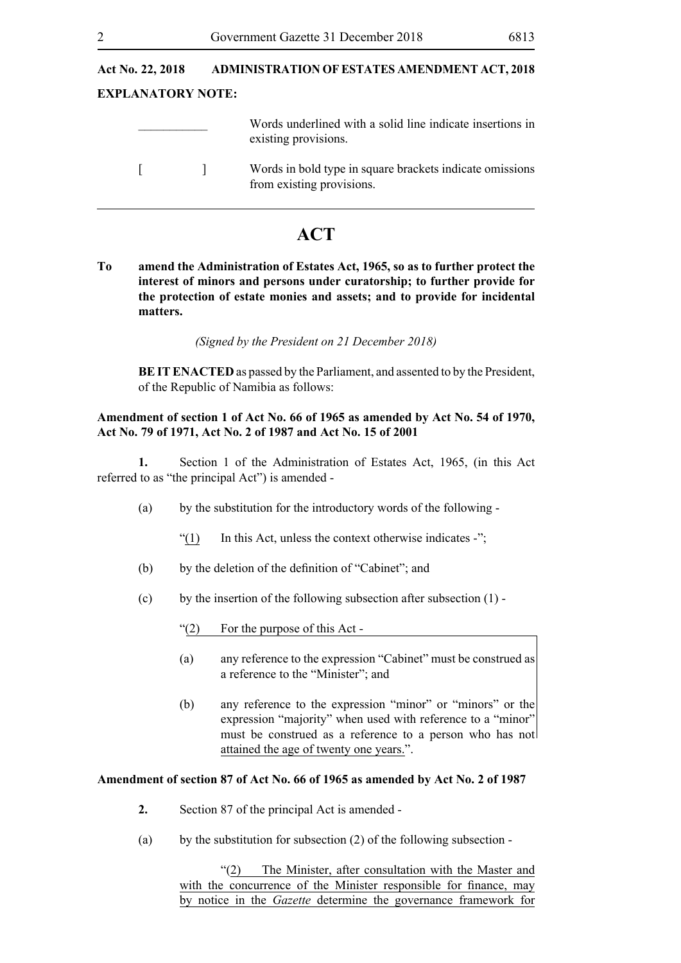# **Act No. 22, 2018 ADMINISTRATION OF ESTATES AMENDMENT ACT, 2018 EXPLANATORY NOTE:** \_\_\_\_\_\_\_\_\_\_\_ Words underlined with a solid line indicate insertions in existing provisions. [ ] Words in bold type in square brackets indicate omissions from existing provisions.

# **ACT**

**To amend the Administration of Estates Act, 1965, so as to further protect the interest of minors and persons under curatorship; to further provide for the protection of estate monies and assets; and to provide for incidental matters.**

*(Signed by the President on 21 December 2018)*

**BEIT ENACTED** as passed by the Parliament, and assented to by the President, of the Republic of Namibia as follows:

#### **Amendment of section 1 of Act No. 66 of 1965 as amended by Act No. 54 of 1970, Act No. 79 of 1971, Act No. 2 of 1987 and Act No. 15 of 2001**

**1.** Section 1 of the Administration of Estates Act, 1965, (in this Act referred to as "the principal Act") is amended -

- (a) by the substitution for the introductory words of the following
	- $\gamma$ (1) In this Act, unless the context otherwise indicates -";
- (b) by the deletion of the definition of "Cabinet"; and
- (c) by the insertion of the following subsection after subsection  $(1)$  -

"(2) For the purpose of this Act -

- (a) any reference to the expression "Cabinet" must be construed as a reference to the "Minister"; and
- (b) any reference to the expression "minor" or "minors" or the expression "majority" when used with reference to a "minor" must be construed as a reference to a person who has not attained the age of twenty one years.".

#### **Amendment of section 87 of Act No. 66 of 1965 as amended by Act No. 2 of 1987**

- **2.** Section 87 of the principal Act is amended -
- (a) by the substitution for subsection  $(2)$  of the following subsection -

"(2) The Minister, after consultation with the Master and with the concurrence of the Minister responsible for finance, may by notice in the *Gazette* determine the governance framework for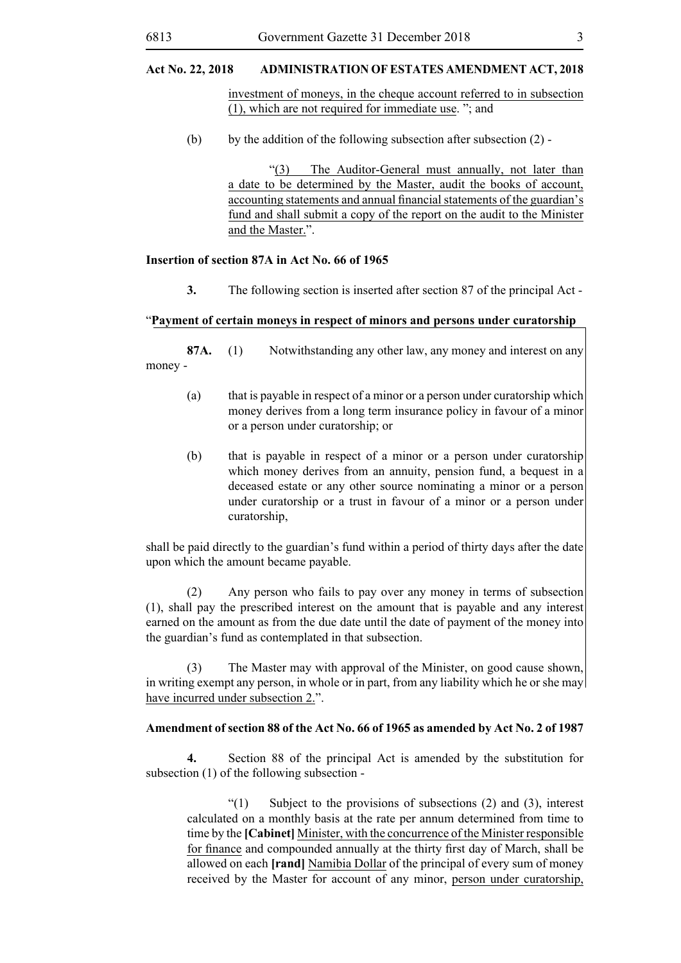## **Act No. 22, 2018 ADMINISTRATION OF ESTATES AMENDMENT ACT, 2018**

investment of moneys, in the cheque account referred to in subsection (1), which are not required for immediate use. "; and

(b) by the addition of the following subsection after subsection  $(2)$  -

"(3) The Auditor-General must annually, not later than a date to be determined by the Master, audit the books of account, accounting statements and annual financial statements of the guardian's fund and shall submit a copy of the report on the audit to the Minister and the Master.".

#### **Insertion of section 87A in Act No. 66 of 1965**

**3.** The following section is inserted after section 87 of the principal Act -

#### "**Payment of certain moneys in respect of minors and persons under curatorship**

**87A.** (1) Notwithstanding any other law, any money and interest on any money -

- (a) that is payable in respect of a minor or a person under curatorship which money derives from a long term insurance policy in favour of a minor or a person under curatorship; or
- (b) that is payable in respect of a minor or a person under curatorship which money derives from an annuity, pension fund, a bequest in a deceased estate or any other source nominating a minor or a person under curatorship or a trust in favour of a minor or a person under curatorship,

shall be paid directly to the guardian's fund within a period of thirty days after the date upon which the amount became payable.

(2) Any person who fails to pay over any money in terms of subsection (1), shall pay the prescribed interest on the amount that is payable and any interest earned on the amount as from the due date until the date of payment of the money into the guardian's fund as contemplated in that subsection.

(3) The Master may with approval of the Minister, on good cause shown, in writing exempt any person, in whole or in part, from any liability which he or she may have incurred under subsection 2.".

#### **Amendment of section 88 of the Act No. 66 of 1965 as amended by Act No. 2 of 1987**

**4.** Section 88 of the principal Act is amended by the substitution for subsection (1) of the following subsection -

 $''(1)$  Subject to the provisions of subsections (2) and (3), interest calculated on a monthly basis at the rate per annum determined from time to time by the **[Cabinet]** Minister, with the concurrence of the Minister responsible for finance and compounded annually at the thirty first day of March, shall be allowed on each **[rand]** Namibia Dollar of the principal of every sum of money received by the Master for account of any minor, person under curatorship,